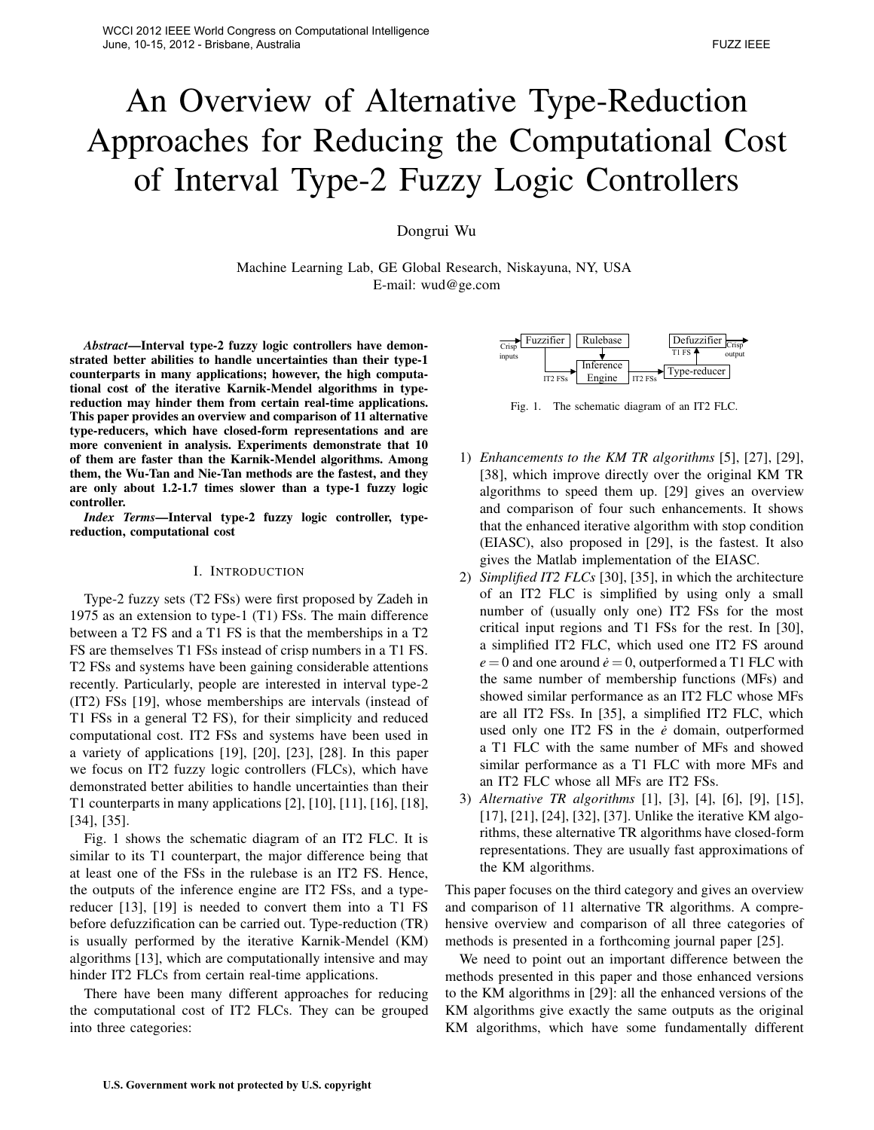# An Overview of Alternative Type-Reduction Approaches for Reducing the Computational Cost of Interval Type-2 Fuzzy Logic Controllers

Dongrui Wu

Machine Learning Lab, GE Global Research, Niskayuna, NY, USA E-mail: wud@ge.com

*Abstract***—Interval type-2 fuzzy logic controllers have demonstrated better abilities to handle uncertainties than their type-1 counterparts in many applications; however, the high computational cost of the iterative Karnik-Mendel algorithms in typereduction may hinder them from certain real-time applications. This paper provides an overview and comparison of 11 alternative type-reducers, which have closed-form representations and are more convenient in analysis. Experiments demonstrate that 10 of them are faster than the Karnik-Mendel algorithms. Among them, the Wu-Tan and Nie-Tan methods are the fastest, and they are only about 1.2-1.7 times slower than a type-1 fuzzy logic controller.**

*Index Terms***—Interval type-2 fuzzy logic controller, typereduction, computational cost**

# I. INTRODUCTION

Type-2 fuzzy sets (T2 FSs) were first proposed by Zadeh in 1975 as an extension to type-1 (T1) FSs. The main difference between a T2 FS and a T1 FS is that the memberships in a T2 FS are themselves T1 FSs instead of crisp numbers in a T1 FS. T2 FSs and systems have been gaining considerable attentions recently. Particularly, people are interested in interval type-2 (IT2) FSs [19], whose memberships are intervals (instead of T1 FSs in a general T2 FS), for their simplicity and reduced computational cost. IT2 FSs and systems have been used in a variety of applications [19], [20], [23], [28]. In this paper we focus on IT2 fuzzy logic controllers (FLCs), which have demonstrated better abilities to handle uncertainties than their T1 counterparts in many applications [2], [10], [11], [16], [18], [34], [35]. **U.S. Exam and Nie Tan and Nie Tan and Nie Tan and Tan and Tan and Tan and Tan and Tan and Tan and Tan and Tan and Tan and Tan and Tan and Tan and Tan and Tan and Tan and Tan and Tan and Tan and Tan and Tan and Tan and Tan** 

Fig. 1 shows the schematic diagram of an IT2 FLC. It is similar to its T1 counterpart, the major difference being that at least one of the FSs in the rulebase is an IT2 FS. Hence, the outputs of the inference engine are IT2 FSs, and a typereducer [13], [19] is needed to convert them into a T1 FS before defuzzification can be carried out. Type-reduction (TR) is usually performed by the iterative Karnik-Mendel (KM) algorithms [13], which are computationally intensive and may hinder IT2 FLCs from certain real-time applications.

There have been many different approaches for reducing the computational cost of IT2 FLCs. They can be grouped into three categories:



Fig. 1. The schematic diagram of an IT2 FLC.

- 1) *Enhancements to the KM TR algorithms* [5], [27], [29], [38], which improve directly over the original KM TR algorithms to speed them up. [29] gives an overview and comparison of four such enhancements. It shows that the enhanced iterative algorithm with stop condition (EIASC), also proposed in [29], is the fastest. It also gives the Matlab implementation of the EIASC.
- 2) *Simplified IT2 FLCs* [30], [35], in which the architecture of an IT2 FLC is simplified by using only a small number of (usually only one) IT2 FSs for the most critical input regions and T1 FSs for the rest. In [30], a simplified IT2 FLC, which used one IT2 FS around  $e = 0$  and one around  $\dot{e} = 0$ , outperformed a T1 FLC with the same number of membership functions (MFs) and showed similar performance as an IT2 FLC whose MFs are all IT2 FSs. In [35], a simplified IT2 FLC, which used only one IT2 FS in the  $\dot{e}$  domain, outperformed a T1 FLC with the same number of MFs and showed similar performance as a T1 FLC with more MFs and an IT2 FLC whose all MFs are IT2 FSs.
- 3) *Alternative TR algorithms* [1], [3], [4], [6], [9], [15], [17], [21], [24], [32], [37]. Unlike the iterative KM algorithms, these alternative TR algorithms have closed-form representations. They are usually fast approximations of the KM algorithms.

This paper focuses on the third category and gives an overview and comparison of 11 alternative TR algorithms. A comprehensive overview and comparison of all three categories of methods is presented in a forthcoming journal paper [25].

We need to point out an important difference between the methods presented in this paper and those enhanced versions to the KM algorithms in [29]: all the enhanced versions of the KM algorithms give exactly the same outputs as the original KM algorithms, which have some fundamentally different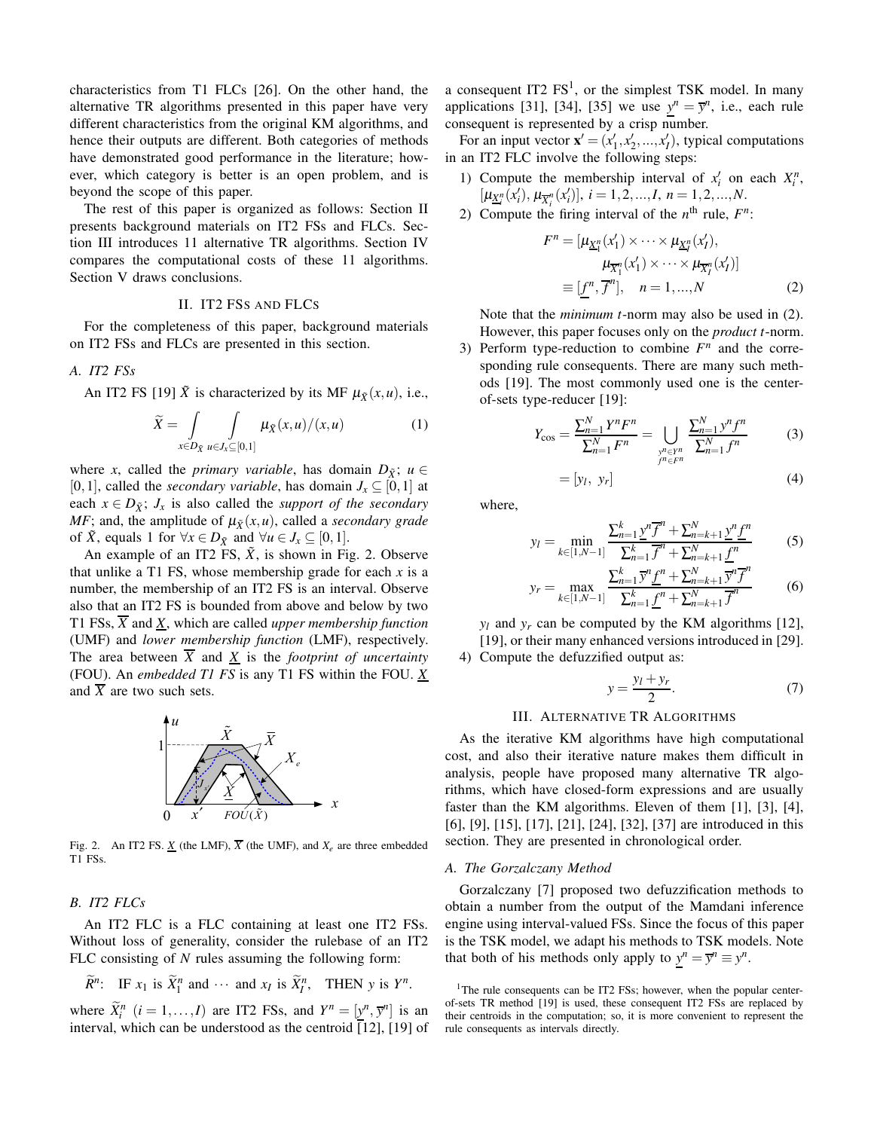characteristics from T1 FLCs [26]. On the other hand, the alternative TR algorithms presented in this paper have very different characteristics from the original KM algorithms, and hence their outputs are different. Both categories of methods have demonstrated good performance in the literature; however, which category is better is an open problem, and is beyond the scope of this paper.

The rest of this paper is organized as follows: Section II presents background materials on IT2 FSs and FLCs. Section III introduces 11 alternative TR algorithms. Section IV compares the computational costs of these 11 algorithms. Section V draws conclusions.

## II. IT2 FSS AND FLCS

For the completeness of this paper, background materials on IT2 FSs and FLCs are presented in this section.

*A. IT2 FSs*

An IT2 FS [19]  $\tilde{X}$  is characterized by its MF  $\mu_{\tilde{X}}(x,u)$ , i.e.,

$$
\widetilde{X} = \int\limits_{x \in D_{\tilde{X}}} \int\limits_{u \in J_x \subseteq [0,1]} \mu_{\tilde{X}}(x,u)/(x,u) \tag{1}
$$

where *x*, called the *primary variable*, has domain  $D_{\tilde{X}}$ ;  $u \in$ [0,1], called the *secondary variable*, has domain  $J_x \subseteq [0,1]$  at each  $x \in D_{\tilde{X}}$ ;  $J_x$  is also called the *support of the secondary MF*; and, the amplitude of  $\mu_{\tilde{X}}(x, u)$ , called a *secondary grade* of *X*, equals 1 for  $\forall x \in D_{\tilde{X}}$  and  $\forall u \in J_x$  ⊆ [0, 1].

An example of an IT2 FS,  $\tilde{X}$ , is shown in Fig. 2. Observe that unlike a T1 FS, whose membership grade for each *x* is a number, the membership of an IT2 FS is an interval. Observe also that an IT2 FS is bounded from above and below by two T1 FSs, *X* and *X*, which are called *upper membership function* (UMF) and *lower membership function* (LMF), respectively. The area between  $\overline{X}$  and  $\underline{X}$  is the *footprint of uncertainty* (FOU). An *embedded T1 FS* is any T1 FS within the FOU. *X* and  $\overline{X}$  are two such sets.



Fig. 2. An IT2 FS.  $X$  (the LMF),  $\overline{X}$  (the UMF), and  $X_e$  are three embedded T1 FSs.

## *B. IT2 FLCs*

An IT2 FLC is a FLC containing at least one IT2 FSs. Without loss of generality, consider the rulebase of an IT2 FLC consisting of *N* rules assuming the following form:

$$
\widetilde{R}^n
$$
: IF  $x_1$  is  $\widetilde{X}_1^n$  and  $\cdots$  and  $x_I$  is  $\widetilde{X}_I^n$ , THEN y is  $Y^n$ .

where  $\widetilde{X}_i^n$   $(i = 1, ..., I)$  are IT2 FSs, and  $Y^n = [\underline{y}^n, \overline{y}^n]$  is an interval, which can be understood as the centroid  $\overline{[12]}$ , [19] of a consequent IT2  $FS<sup>1</sup>$ , or the simplest TSK model. In many applications [31], [34], [35] we use  $y^n = \overline{y}^n$ , i.e., each rule consequent is represented by a crisp number.

For an input vector  $\mathbf{x}' = (x'_1, x'_2, ..., x'_I)$ , typical computations in an IT2 FLC involve the following steps:

- 1) Compute the membership interval of  $x_i'$  on each  $X_i^n$ ,  $[\mu_{\underline{X}_i^n}(x_i'), \mu_{\overline{X}_i^n}(x_i')]$ ,  $i = 1, 2, ..., I$ ,  $n = 1, 2, ..., N$ .
- 2) Compute the firing interval of the  $n^{\text{th}}$  rule,  $F^n$ :

$$
F^n = [\mu_{\underline{X}_1^n}(x_1') \times \cdots \times \mu_{\underline{X}_I^n}(x_I'),
$$
  
\n
$$
\mu_{\overline{X}_1^n}(x_1') \times \cdots \times \mu_{\overline{X}_I^n}(x_I')]
$$
  
\n
$$
\equiv [\underline{f}^n, \overline{f}^n], \quad n = 1, ..., N
$$
 (2)

Note that the *minimum t*-norm may also be used in (2). However, this paper focuses only on the *product t*-norm.

3) Perform type-reduction to combine  $F<sup>n</sup>$  and the corresponding rule consequents. There are many such methods [19]. The most commonly used one is the centerof-sets type-reducer [19]:

$$
Y_{\cos} = \frac{\sum_{n=1}^{N} Y^n F^n}{\sum_{n=1}^{N} F^n} = \bigcup_{\substack{y^n \in Y^n \\ f^n \in F^n}} \frac{\sum_{n=1}^{N} y^n f^n}{\sum_{n=1}^{N} f^n}
$$
(3)

$$
= [y_l, y_r] \tag{4}
$$

where,

$$
y_l = \min_{k \in [1, N-1]} \frac{\sum_{n=1}^k y^n \overline{f}^n + \sum_{n=k+1}^N y^n \underline{f}^n}{\sum_{n=1}^k \overline{f}^n + \sum_{n=k+1}^N \underline{f}^n}
$$
(5)

$$
y_r = \max_{k \in [1, N-1]} \frac{\sum_{n=1}^k \overline{y}^n \underline{f}^n + \sum_{n=k+1}^N \overline{y}^n \overline{f}^n}{\sum_{n=1}^k \underline{f}^n + \sum_{n=k+1}^N \overline{f}^n}
$$
(6)

 $y_l$  and  $y_r$  can be computed by the KM algorithms [12], [19], or their many enhanced versions introduced in [29]. 4) Compute the defuzzified output as:

$$
y = \frac{y_l + y_r}{2}.\tag{7}
$$

## III. ALTERNATIVE TR ALGORITHMS

As the iterative KM algorithms have high computational cost, and also their iterative nature makes them difficult in analysis, people have proposed many alternative TR algorithms, which have closed-form expressions and are usually faster than the KM algorithms. Eleven of them [1], [3], [4], [6], [9], [15], [17], [21], [24], [32], [37] are introduced in this section. They are presented in chronological order.

## *A. The Gorzalczany Method*

Gorzalczany [7] proposed two defuzzification methods to obtain a number from the output of the Mamdani inference engine using interval-valued FSs. Since the focus of this paper is the TSK model, we adapt his methods to TSK models. Note that both of his methods only apply to  $y^n = \overline{y}^n \equiv y^n$ .

<sup>&</sup>lt;sup>1</sup>The rule consequents can be IT2 FSs; however, when the popular centerof-sets TR method [19] is used, these consequent IT2 FSs are replaced by their centroids in the computation; so, it is more convenient to represent the rule consequents as intervals directly.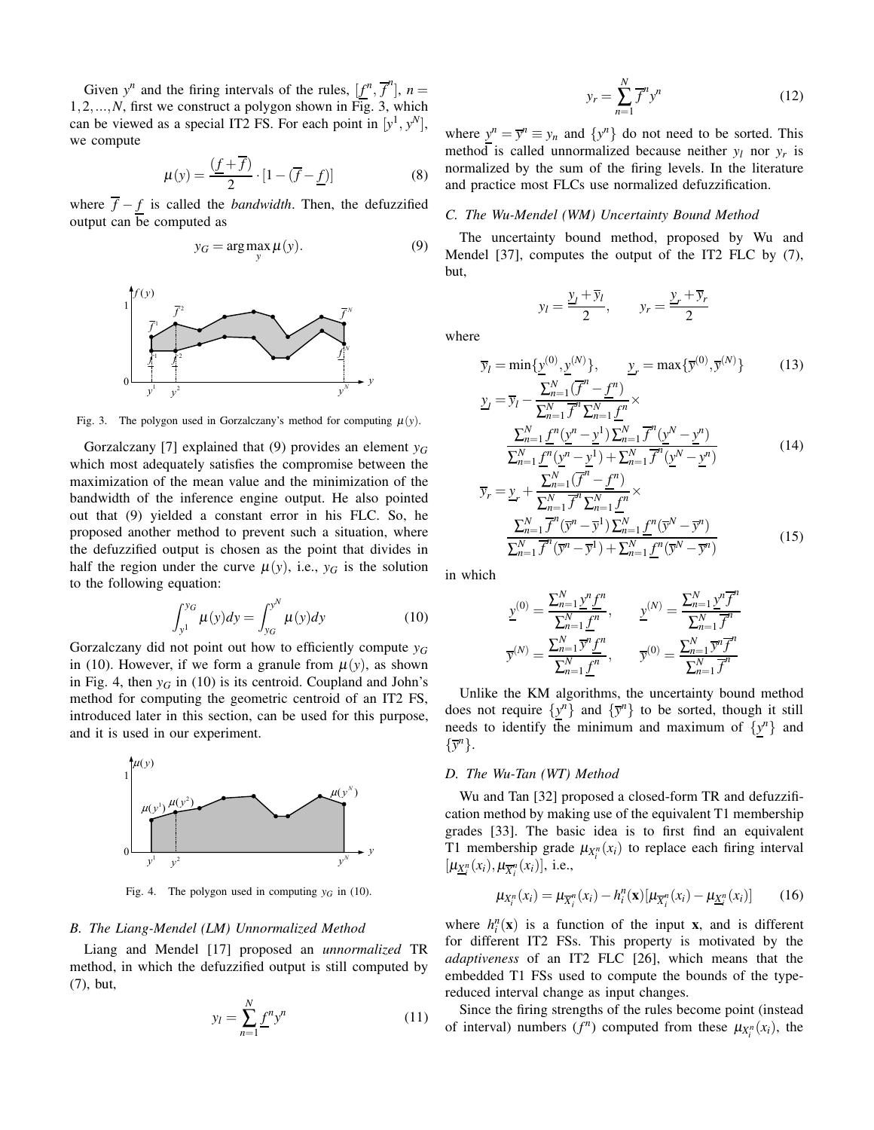Given  $y^n$  and the firing intervals of the rules,  $[f^n, \overline{f}^n]$ ,  $n =$ 1,2,...,*N*, first we construct a polygon shown in Fig. 3, which can be viewed as a special IT2 FS. For each point in  $[y^1, y^N]$ , we compute

$$
\mu(y) = \frac{(\underline{f} + \overline{f})}{2} \cdot [1 - (\overline{f} - \underline{f})] \tag{8}
$$

where  $\overline{f} - f$  is called the *bandwidth*. Then, the defuzzified output can be computed as

$$
y_G = \arg\max_{y} \mu(y). \tag{9}
$$



Fig. 3. The polygon used in Gorzalczany's method for computing  $\mu(y)$ .

Gorzalczany [7] explained that (9) provides an element *y<sup>G</sup>* which most adequately satisfies the compromise between the maximization of the mean value and the minimization of the bandwidth of the inference engine output. He also pointed out that (9) yielded a constant error in his FLC. So, he proposed another method to prevent such a situation, where the defuzzified output is chosen as the point that divides in half the region under the curve  $\mu(y)$ , i.e.,  $y_G$  is the solution to the following equation:

$$
\int_{y^{1}}^{y^{G}} \mu(y) dy = \int_{y^{G}}^{y^{N}} \mu(y) dy
$$
 (10)

Gorzalczany did not point out how to efficiently compute *y<sup>G</sup>* in (10). However, if we form a granule from  $\mu(y)$ , as shown in Fig. 4, then  $y_G$  in (10) is its centroid. Coupland and John's method for computing the geometric centroid of an IT2 FS, introduced later in this section, can be used for this purpose, and it is used in our experiment.



Fig. 4. The polygon used in computing  $y_G$  in (10).

#### *B. The Liang-Mendel (LM) Unnormalized Method*

Liang and Mendel [17] proposed an *unnormalized* TR method, in which the defuzzified output is still computed by (7), but,

$$
y_l = \sum_{n=1}^{N} \underline{f}^n y^n \tag{11}
$$

$$
y_r = \sum_{n=1}^{N} \overline{f}^n y^n \tag{12}
$$

 $y_r + \overline{y}_r$ 2

where  $y^n = \overline{y}^n \equiv y_n$  and  $\{y^n\}$  do not need to be sorted. This method is called unnormalized because neither  $y_l$  nor  $y_r$  is normalized by the sum of the firing levels. In the literature and practice most FLCs use normalized defuzzification.

## *C. The Wu-Mendel (WM) Uncertainty Bound Method*

 $y_l + \overline{y}_l$ 

 $y_l =$ 

The uncertainty bound method, proposed by Wu and Mendel [37], computes the output of the IT2 FLC by (7), but,

 $\frac{y_i}{2}$ ,  $y_r =$ 

where

$$
\overline{y}_l = \min\{\underline{y}^{(0)}, \underline{y}^{(N)}\}, \qquad \underline{y}_r = \max\{\overline{y}^{(0)}, \overline{y}^{(N)}\} \tag{13}
$$
\n
$$
-\frac{\sum_{n=1}^{N}(\overline{f}^n - f^n)}{\sum_{n=1}^{N}(\overline{f}^n - f^n)}
$$

$$
y_{I} = \overline{y}_{I} - \frac{\sum_{n=1}^{N} (f^{n} - \underline{f}^{n})}{\sum_{n=1}^{N} \overline{f}^{n} \sum_{n=1}^{N} \underline{f}^{n}} \times \frac{\sum_{n=1}^{N} \underline{f}^{n} (y^{n} - y^{1}) \sum_{n=1}^{N} \overline{f}^{n} (y^{N} - y^{n})}{\sum_{n=1}^{N} \underline{f}^{n} (y^{n} - y^{1}) + \sum_{n=1}^{N} \overline{f}^{n} (y^{N} - y^{n})}
$$
(14)

$$
\overline{y}_r = \underline{y}_r + \frac{\sum_{n=1}^N (\overline{f}^n - \underline{f}^n)}{\sum_{n=1}^N \overline{f}^n \sum_{n=1}^N \underline{f}^n} \times \frac{\sum_{n=1}^N \overline{f}^n (\overline{y}^n - \overline{y}^1) \sum_{n=1}^N \underline{f}^n (\overline{y}^N - \overline{y}^n)}{\sum_{n=1}^N \overline{f}^n (\overline{y}^n - \overline{y}^1) + \sum_{n=1}^N \underline{f}^n (\overline{y}^N - \overline{y}^n)}
$$
(15)

in which

$$
\underline{y}^{(0)} = \frac{\sum_{n=1}^{N} \underline{y}^{n} \underline{f}^{n}}{\sum_{n=1}^{N} \underline{f}^{n}}, \qquad \underline{y}^{(N)} = \frac{\sum_{n=1}^{N} \underline{y}^{n} \overline{f}^{n}}{\sum_{n=1}^{N} \overline{f}^{n}}
$$

$$
\overline{y}^{(N)} = \frac{\sum_{n=1}^{N} \underline{y}^{n} \underline{f}^{n}}{\sum_{n=1}^{N} \underline{f}^{n}}, \qquad \overline{y}^{(0)} = \frac{\sum_{n=1}^{N} \overline{y}^{n} \overline{f}^{n}}{\sum_{n=1}^{N} \overline{f}^{n}}
$$

Unlike the KM algorithms, the uncertainty bound method does not require  $\{y^n\}$  and  $\{\bar{y}^n\}$  to be sorted, though it still needs to identify the minimum and maximum of  $\{y^n\}$  and  $\{\overline{y}^n\}.$ 

## *D. The Wu-Tan (WT) Method*

Wu and Tan [32] proposed a closed-form TR and defuzzification method by making use of the equivalent T1 membership grades [33]. The basic idea is to first find an equivalent T1 membership grade  $\mu_{X_i^n}(x_i)$  to replace each firing interval  $[\mu_{\underline{X}_i^n}(x_i), \mu_{\overline{X}_i^n}(x_i)],$  i.e.,

$$
\mu_{X_i^n}(x_i) = \mu_{\overline{X}_i^n}(x_i) - h_i^n(\mathbf{x})[\mu_{\overline{X}_i^n}(x_i) - \mu_{\underline{X}_i^n}(x_i)] \tag{16}
$$

where  $h_i^n(\mathbf{x})$  is a function of the input **x**, and is different for different IT2 FSs. This property is motivated by the *adaptiveness* of an IT2 FLC [26], which means that the embedded T1 FSs used to compute the bounds of the typereduced interval change as input changes.

Since the firing strengths of the rules become point (instead of interval) numbers  $(f^n)$  computed from these  $\mu_{X_i^n}(x_i)$ , the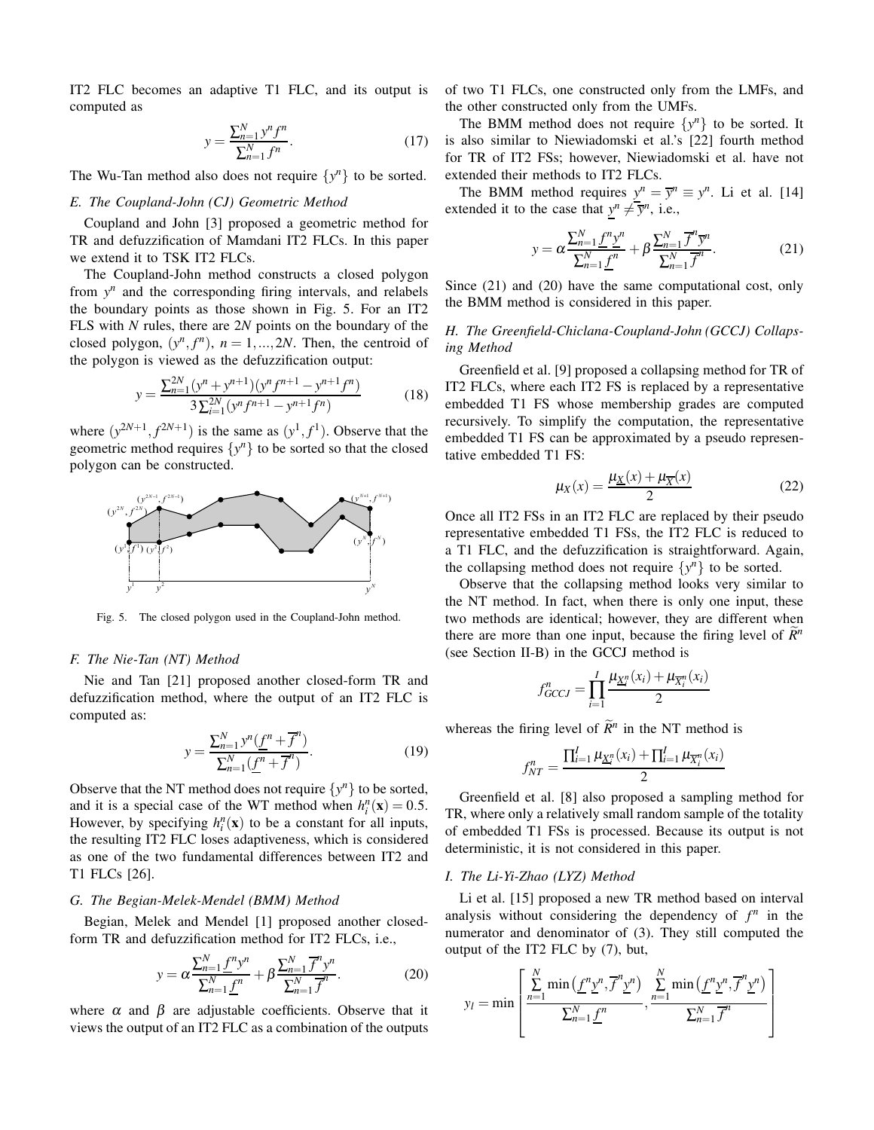IT2 FLC becomes an adaptive T1 FLC, and its output is computed as

$$
y = \frac{\sum_{n=1}^{N} y^n f^n}{\sum_{n=1}^{N} f^n}.
$$
\n(17)

The Wu-Tan method also does not require  $\{y^n\}$  to be sorted.

## *E. The Coupland-John (CJ) Geometric Method*

Coupland and John [3] proposed a geometric method for TR and defuzzification of Mamdani IT2 FLCs. In this paper we extend it to TSK IT2 FLCs.

The Coupland-John method constructs a closed polygon from  $y^n$  and the corresponding firing intervals, and relabels the boundary points as those shown in Fig. 5. For an IT2 FLS with *N* rules, there are 2*N* points on the boundary of the closed polygon,  $(y^n, f^n)$ ,  $n = 1, ..., 2N$ . Then, the centroid of the polygon is viewed as the defuzzification output:

$$
y = \frac{\sum_{n=1}^{2N} (y^n + y^{n+1})(y^n f^{n+1} - y^{n+1} f^n)}{3 \sum_{i=1}^{2N} (y^n f^{n+1} - y^{n+1} f^n)}
$$
(18)

where  $(y^{2N+1}, f^{2N+1})$  is the same as  $(y^1, f^1)$ . Observe that the geometric method requires  $\{y^n\}$  to be sorted so that the closed polygon can be constructed.



Fig. 5. The closed polygon used in the Coupland-John method.

## *F. The Nie-Tan (NT) Method*

Nie and Tan [21] proposed another closed-form TR and defuzzification method, where the output of an IT2 FLC is computed as:

$$
y = \frac{\sum_{n=1}^{N} y^n (\underline{f}^n + \overline{f}^n)}{\sum_{n=1}^{N} (\underline{f}^n + \overline{f}^n)}.
$$
 (19)

Observe that the NT method does not require  $\{y^n\}$  to be sorted, and it is a special case of the WT method when  $h_i^n(\mathbf{x}) = 0.5$ . However, by specifying  $h_i^n(\mathbf{x})$  to be a constant for all inputs, the resulting IT2 FLC loses adaptiveness, which is considered as one of the two fundamental differences between IT2 and T1 FLCs [26].

## *G. The Begian-Melek-Mendel (BMM) Method*

Begian, Melek and Mendel [1] proposed another closedform TR and defuzzification method for IT2 FLCs, i.e.,

$$
y = \alpha \frac{\sum_{n=1}^{N} \underline{f}^n y^n}{\sum_{n=1}^{N} \underline{f}^n} + \beta \frac{\sum_{n=1}^{N} \overline{f}^n y^n}{\sum_{n=1}^{N} \overline{f}^n}.
$$
 (20)

where  $\alpha$  and  $\beta$  are adjustable coefficients. Observe that it views the output of an IT2 FLC as a combination of the outputs

of two T1 FLCs, one constructed only from the LMFs, and the other constructed only from the UMFs.

The BMM method does not require  $\{y^n\}$  to be sorted. It is also similar to Niewiadomski et al.'s [22] fourth method for TR of IT2 FSs; however, Niewiadomski et al. have not extended their methods to IT2 FLCs.

The BMM method requires  $y^n = \overline{y}^n \equiv y^n$ . Li et al. [14] extended it to the case that  $y^n \neq \overline{y}^n$ , i.e.,

$$
y = \alpha \frac{\sum_{n=1}^{N} \underline{f}^n \underline{y}^n}{\sum_{n=1}^{N} \underline{f}^n} + \beta \frac{\sum_{n=1}^{N} \overline{f}^n \overline{y}^n}{\sum_{n=1}^{N} \overline{f}^n}.
$$
 (21)

Since (21) and (20) have the same computational cost, only the BMM method is considered in this paper.

# *H. The Greenfield-Chiclana-Coupland-John (GCCJ) Collapsing Method*

Greenfield et al. [9] proposed a collapsing method for TR of IT2 FLCs, where each IT2 FS is replaced by a representative embedded T1 FS whose membership grades are computed recursively. To simplify the computation, the representative embedded T1 FS can be approximated by a pseudo representative embedded T1 FS:

$$
\mu_X(x) = \frac{\mu_X(x) + \mu_{\overline{X}}(x)}{2} \tag{22}
$$

Once all IT2 FSs in an IT2 FLC are replaced by their pseudo representative embedded T1 FSs, the IT2 FLC is reduced to a T1 FLC, and the defuzzification is straightforward. Again, the collapsing method does not require  $\{y^n\}$  to be sorted.

Observe that the collapsing method looks very similar to the NT method. In fact, when there is only one input, these two methods are identical; however, they are different when there are more than one input, because the firing level of  $\mathbb{R}^n$ (see Section II-B) in the GCCJ method is

$$
f_{GCCJ}^n = \prod_{i=1}^I \frac{\mu_{\underline{X}_i^n}(x_i) + \mu_{\overline{X}_i^n}(x_i)}{2}
$$

whereas the firing level of  $\widetilde{R}^n$  in the NT method is

$$
f_{NT}^{n} = \frac{\prod_{i=1}^{I} \mu_{\underline{X}_{i}^{n}}(x_{i}) + \prod_{i=1}^{I} \mu_{\overline{X}_{i}^{n}}(x_{i})}{2}
$$

Greenfield et al. [8] also proposed a sampling method for TR, where only a relatively small random sample of the totality of embedded T1 FSs is processed. Because its output is not deterministic, it is not considered in this paper.

### *I. The Li-Yi-Zhao (LYZ) Method*

Li et al. [15] proposed a new TR method based on interval analysis without considering the dependency of  $f^n$  in the numerator and denominator of (3). They still computed the output of the IT2 FLC by (7), but,

$$
y_l = \min\left[\frac{\sum_{n=1}^N \min\left(\underline{f}^n \underline{y}^n, \overline{f}^n \underline{y}^n\right)}{\sum_{n=1}^N \underline{f}^n}, \frac{\sum_{n=1}^N \min\left(\underline{f}^n \underline{y}^n, \overline{f}^n \underline{y}^n\right)}{\sum_{n=1}^N \overline{f}^n}\right]
$$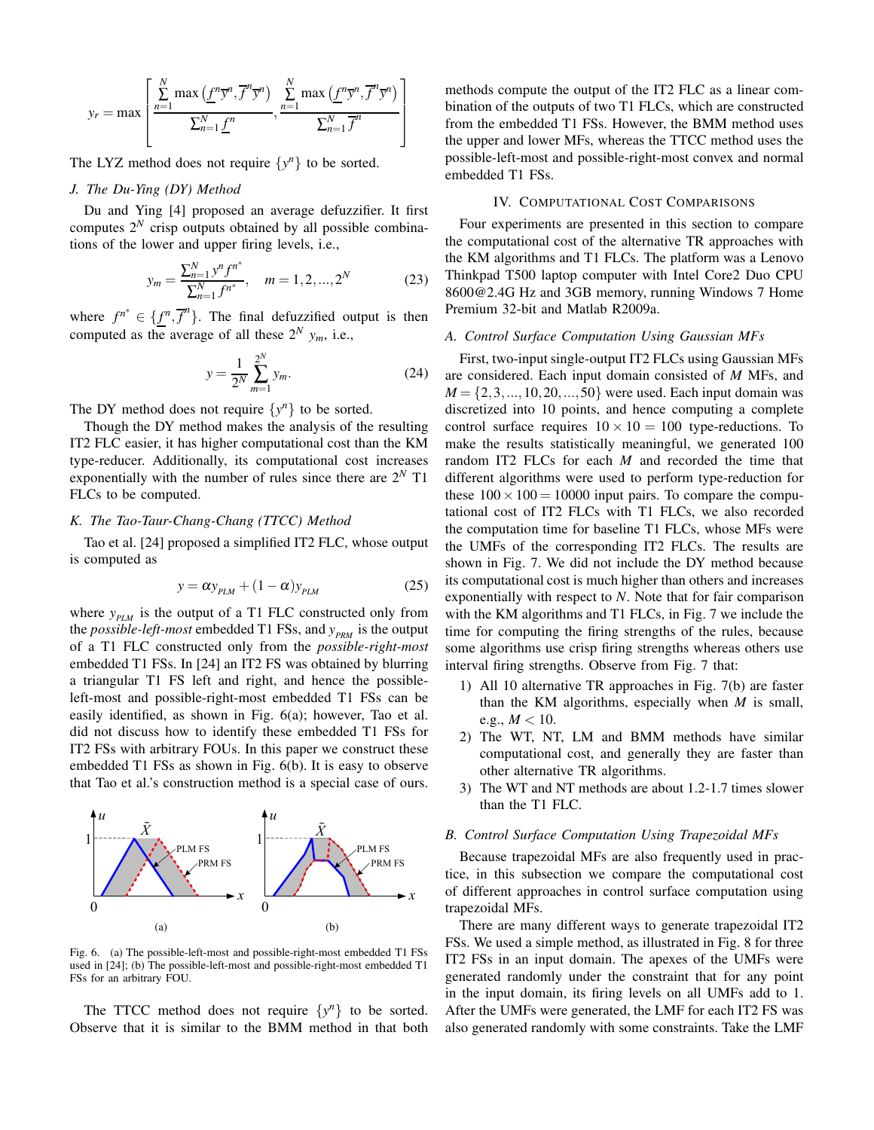$$
y_r = \max \left[ \frac{\sum_{n=1}^N \max \left( \underline{f}^n \overline{y}^n, \overline{f}^n \overline{y}^n \right)}{\sum_{n=1}^N \underline{f}^n}, \frac{\sum_{n=1}^N \max \left( \underline{f}^n \overline{y}^n, \overline{f}^n \overline{y}^n \right)}{\sum_{n=1}^N \overline{f}^n} \right]
$$

The LYZ method does not require  $\{y^n\}$  to be sorted.

# *J. The Du-Ying (DY) Method*

Du and Ying [4] proposed an average defuzzifier. It first computes  $2^N$  crisp outputs obtained by all possible combinations of the lower and upper firing levels, i.e.,

$$
y_m = \frac{\sum_{n=1}^{N} y^n f^{n^*}}{\sum_{n=1}^{N} f^{n^*}}, \quad m = 1, 2, ..., 2^N
$$
 (23)

where  $f^{n^*} \in \{f^n, \overline{f}^n\}$ . The final defuzzified output is then computed as the average of all these  $2^N$   $y_m$ , i.e.,

$$
y = \frac{1}{2^N} \sum_{m=1}^{2^N} y_m.
$$
 (24)

The DY method does not require  $\{y^n\}$  to be sorted.

Though the DY method makes the analysis of the resulting IT2 FLC easier, it has higher computational cost than the KM type-reducer. Additionally, its computational cost increases exponentially with the number of rules since there are 2*<sup>N</sup>* T1 FLCs to be computed.

## *K. The Tao-Taur-Chang-Chang (TTCC) Method*

Tao et al. [24] proposed a simplified IT2 FLC, whose output is computed as

$$
y = \alpha y_{PLM} + (1 - \alpha) y_{PLM}
$$
 (25)

where  $y_{p_{LM}}$  is the output of a T1 FLC constructed only from the *possible-left-most* embedded T1 FSs, and  $y_{PRM}$  is the output of a T1 FLC constructed only from the *possible-right-most* embedded T1 FSs. In [24] an IT2 FS was obtained by blurring a triangular T1 FS left and right, and hence the possibleleft-most and possible-right-most embedded T1 FSs can be easily identified, as shown in Fig. 6(a); however, Tao et al. did not discuss how to identify these embedded T1 FSs for IT2 FSs with arbitrary FOUs. In this paper we construct these embedded T1 FSs as shown in Fig. 6(b). It is easy to observe that Tao et al.'s construction method is a special case of ours.



Fig. 6. (a) The possible-left-most and possible-right-most embedded T1 FSs used in [24]; (b) The possible-left-most and possible-right-most embedded T1 FSs for an arbitrary FOU.

The TTCC method does not require  $\{y^n\}$  to be sorted. Observe that it is similar to the BMM method in that both methods compute the output of the IT2 FLC as a linear combination of the outputs of two T1 FLCs, which are constructed from the embedded T1 FSs. However, the BMM method uses the upper and lower MFs, whereas the TTCC method uses the possible-left-most and possible-right-most convex and normal embedded T1 FSs.

## IV. COMPUTATIONAL COST COMPARISONS

Four experiments are presented in this section to compare the computational cost of the alternative TR approaches with the KM algorithms and T1 FLCs. The platform was a Lenovo Thinkpad T500 laptop computer with Intel Core2 Duo CPU 8600@2.4G Hz and 3GB memory, running Windows 7 Home Premium 32-bit and Matlab R2009a.

## *A. Control Surface Computation Using Gaussian MFs*

First, two-input single-output IT2 FLCs using Gaussian MFs are considered. Each input domain consisted of *M* MFs, and  $M = \{2, 3, ..., 10, 20, ..., 50\}$  were used. Each input domain was discretized into 10 points, and hence computing a complete control surface requires  $10 \times 10 = 100$  type-reductions. To make the results statistically meaningful, we generated 100 random IT2 FLCs for each *M* and recorded the time that different algorithms were used to perform type-reduction for these  $100 \times 100 = 10000$  input pairs. To compare the computational cost of IT2 FLCs with T1 FLCs, we also recorded the computation time for baseline T1 FLCs, whose MFs were the UMFs of the corresponding IT2 FLCs. The results are shown in Fig. 7. We did not include the DY method because its computational cost is much higher than others and increases exponentially with respect to *N*. Note that for fair comparison with the KM algorithms and T1 FLCs, in Fig. 7 we include the time for computing the firing strengths of the rules, because some algorithms use crisp firing strengths whereas others use interval firing strengths. Observe from Fig. 7 that:

- 1) All 10 alternative TR approaches in Fig. 7(b) are faster than the KM algorithms, especially when *M* is small, e.g.,  $M < 10$ .
- 2) The WT, NT, LM and BMM methods have similar computational cost, and generally they are faster than other alternative TR algorithms.
- 3) The WT and NT methods are about 1.2-1.7 times slower than the T1 FLC.

#### *B. Control Surface Computation Using Trapezoidal MFs*

Because trapezoidal MFs are also frequently used in practice, in this subsection we compare the computational cost of different approaches in control surface computation using trapezoidal MFs.

There are many different ways to generate trapezoidal IT2 FSs. We used a simple method, as illustrated in Fig. 8 for three IT2 FSs in an input domain. The apexes of the UMFs were generated randomly under the constraint that for any point in the input domain, its firing levels on all UMFs add to 1. After the UMFs were generated, the LMF for each IT2 FS was also generated randomly with some constraints. Take the LMF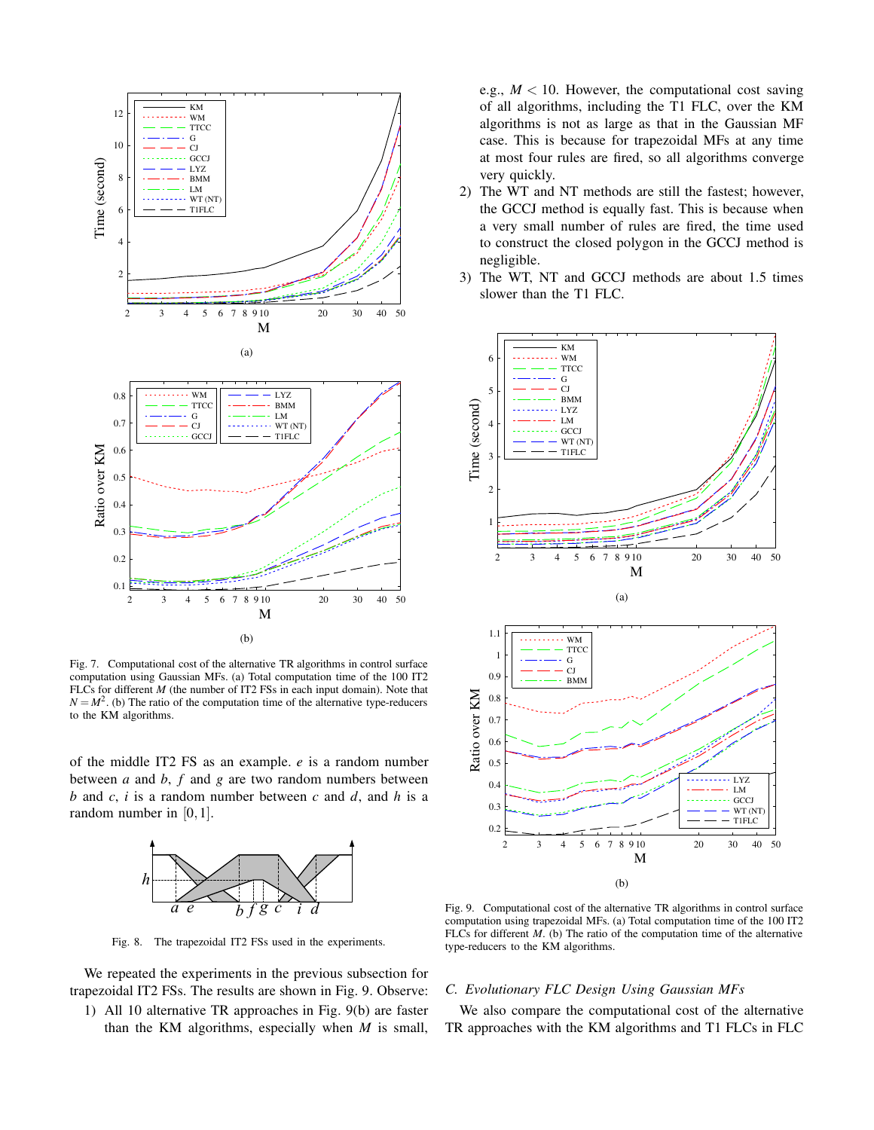

Fig. 7. Computational cost of the alternative TR algorithms in control surface computation using Gaussian MFs. (a) Total computation time of the 100 IT2 FLCs for different *M* (the number of IT2 FSs in each input domain). Note that  $N = M^2$ . (b) The ratio of the computation time of the alternative type-reducers to the KM algorithms.

of the middle IT2 FS as an example. *e* is a random number between *a* and *b*, *f* and *g* are two random numbers between *b* and *c*, *i* is a random number between *c* and *d*, and *h* is a random number in [0,1].



Fig. 8. The trapezoidal IT2 FSs used in the experiments.

We repeated the experiments in the previous subsection for trapezoidal IT2 FSs. The results are shown in Fig. 9. Observe:

1) All 10 alternative TR approaches in Fig. 9(b) are faster than the KM algorithms, especially when *M* is small, e.g.,  $M < 10$ . However, the computational cost saving of all algorithms, including the T1 FLC, over the KM algorithms is not as large as that in the Gaussian MF case. This is because for trapezoidal MFs at any time at most four rules are fired, so all algorithms converge very quickly.

- 2) The WT and NT methods are still the fastest; however, the GCCJ method is equally fast. This is because when a very small number of rules are fired, the time used to construct the closed polygon in the GCCJ method is negligible.
- 3) The WT, NT and GCCJ methods are about 1.5 times slower than the T1 FLC.



Fig. 9. Computational cost of the alternative TR algorithms in control surface computation using trapezoidal MFs. (a) Total computation time of the 100 IT2 FLCs for different *M*. (b) The ratio of the computation time of the alternative type-reducers to the KM algorithms.

## *C. Evolutionary FLC Design Using Gaussian MFs*

We also compare the computational cost of the alternative TR approaches with the KM algorithms and T1 FLCs in FLC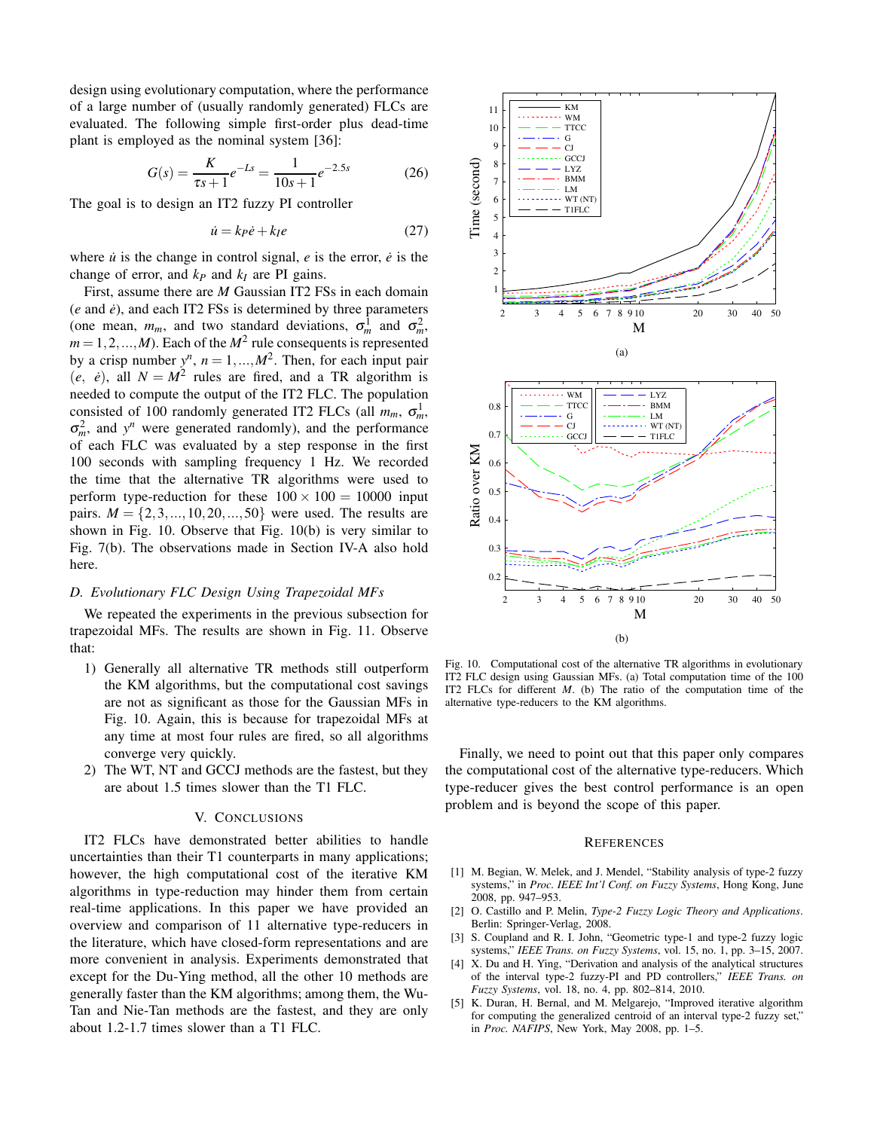design using evolutionary computation, where the performance of a large number of (usually randomly generated) FLCs are evaluated. The following simple first-order plus dead-time plant is employed as the nominal system [36]:

$$
G(s) = \frac{K}{\tau s + 1} e^{-Ls} = \frac{1}{10s + 1} e^{-2.5s}
$$
 (26)

The goal is to design an IT2 fuzzy PI controller

$$
\dot{u} = k_P \dot{e} + k_I e \tag{27}
$$

where  $\dot{u}$  is the change in control signal,  $e$  is the error,  $\dot{e}$  is the change of error, and  $k_P$  and  $k_I$  are PI gains.

First, assume there are *M* Gaussian IT2 FSs in each domain  $(e$  and  $\dot{e}$ ), and each IT2 FSs is determined by three parameters (one mean,  $m_m$ , and two standard deviations,  $\sigma_m^1$  and  $\sigma_m^2$ ,  $m = 1, 2, ..., M$ ). Each of the  $M<sup>2</sup>$  rule consequents is represented by a crisp number  $y^n$ ,  $n = 1, ..., M^2$ . Then, for each input pair  $(e, e)$ , all  $N = M^2$  rules are fired, and a TR algorithm is needed to compute the output of the IT2 FLC. The population consisted of 100 randomly generated IT2 FLCs (all  $m_m$ ,  $\sigma_m^1$ ,  $\sigma_m^2$ , and *y*<sup>*n*</sup> were generated randomly), and the performance of each FLC was evaluated by a step response in the first 100 seconds with sampling frequency 1 Hz. We recorded the time that the alternative TR algorithms were used to perform type-reduction for these  $100 \times 100 = 10000$  input pairs.  $M = \{2, 3, ..., 10, 20, ..., 50\}$  were used. The results are shown in Fig. 10. Observe that Fig. 10(b) is very similar to Fig. 7(b). The observations made in Section IV-A also hold here.

## *D. Evolutionary FLC Design Using Trapezoidal MFs*

We repeated the experiments in the previous subsection for trapezoidal MFs. The results are shown in Fig. 11. Observe that:

- 1) Generally all alternative TR methods still outperform the KM algorithms, but the computational cost savings are not as significant as those for the Gaussian MFs in Fig. 10. Again, this is because for trapezoidal MFs at any time at most four rules are fired, so all algorithms converge very quickly.
- 2) The WT, NT and GCCJ methods are the fastest, but they are about 1.5 times slower than the T1 FLC.

## V. CONCLUSIONS

IT2 FLCs have demonstrated better abilities to handle uncertainties than their T1 counterparts in many applications; however, the high computational cost of the iterative KM algorithms in type-reduction may hinder them from certain real-time applications. In this paper we have provided an overview and comparison of 11 alternative type-reducers in the literature, which have closed-form representations and are more convenient in analysis. Experiments demonstrated that except for the Du-Ying method, all the other 10 methods are generally faster than the KM algorithms; among them, the Wu-Tan and Nie-Tan methods are the fastest, and they are only about 1.2-1.7 times slower than a T1 FLC.



Fig. 10. Computational cost of the alternative TR algorithms in evolutionary IT2 FLC design using Gaussian MFs. (a) Total computation time of the 100 IT2 FLCs for different *M*. (b) The ratio of the computation time of the alternative type-reducers to the KM algorithms.

Finally, we need to point out that this paper only compares the computational cost of the alternative type-reducers. Which type-reducer gives the best control performance is an open problem and is beyond the scope of this paper.

### **REFERENCES**

- [1] M. Begian, W. Melek, and J. Mendel, "Stability analysis of type-2 fuzzy systems," in *Proc. IEEE Int'l Conf. on Fuzzy Systems*, Hong Kong, June 2008, pp. 947–953.
- [2] O. Castillo and P. Melin, *Type-2 Fuzzy Logic Theory and Applications*. Berlin: Springer-Verlag, 2008.
- [3] S. Coupland and R. I. John, "Geometric type-1 and type-2 fuzzy logic systems," *IEEE Trans. on Fuzzy Systems*, vol. 15, no. 1, pp. 3–15, 2007.
- [4] X. Du and H. Ying, "Derivation and analysis of the analytical structures of the interval type-2 fuzzy-PI and PD controllers," *IEEE Trans. on Fuzzy Systems*, vol. 18, no. 4, pp. 802–814, 2010.
- [5] K. Duran, H. Bernal, and M. Melgarejo, "Improved iterative algorithm for computing the generalized centroid of an interval type-2 fuzzy set," in *Proc. NAFIPS*, New York, May 2008, pp. 1–5.